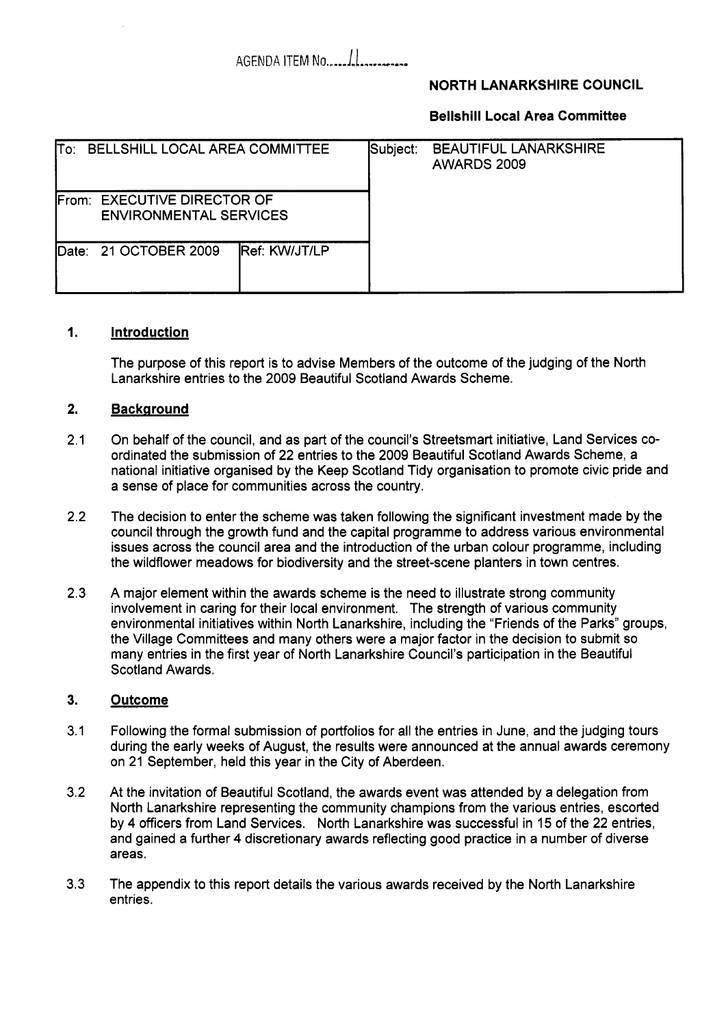# 

# **NORTH LANARKSHIRE COUNCIL**

### **Bellshill Local Area Committee**

| To: BELLSHILL LOCAL AREA COMMITTEE                           |                       |                      | Subject: | <b>BEAUTIFUL LANARKSHIRE</b><br>AWARDS 2009 |  |
|--------------------------------------------------------------|-----------------------|----------------------|----------|---------------------------------------------|--|
| From: EXECUTIVE DIRECTOR OF<br><b>ENVIRONMENTAL SERVICES</b> |                       |                      |          |                                             |  |
|                                                              | Date: 21 OCTOBER 2009 | <b>Ref: KW/JT/LP</b> |          |                                             |  |

#### **1. Introduction**

The purpose of this report is to advise Members of the outcome of the judging of the North Lanarkshire entries to the 2009 Beautiful Scotland Awards Scheme.

#### **2. Background**

- 2.1 On behalf of the council, and as part of the council's Streetsmart initiative, Land Services coordinated the submission of 22 entries to the 2009 Beautiful Scotland Awards Scheme, a national initiative organised by the Keep Scotland Tidy organisation to promote civic pride and a sense of place for communities across the country.
- 2.2 The decision to enter the scheme was taken following the significant investment made by the council through the growth fund and the capital programme to address various environmental issues across the council area and the introduction of the urban colour programme, including the wildflower meadows for biodiversity and the street-scene planters in town centres.
- 2.3 A major element within the awards scheme is the need to illustrate strong community involvement in caring for their local environment. The strength of various community environmental initiatives within North Lanarkshire, including the "Friends of the Parks" groups, the Village Committees and many others were a major factor in the decision to submit so many entries in the first year of North Lanarkshire Council's participation in the Beautiful Scotland Awards.

#### **3. Outcome**

- 3.1 Following the formal submission of portfolios for all the entries in June, and the judging tours during the early weeks of August, the results were announced at the annual awards ceremony on 21 September, held this year in the City of Aberdeen.
- 3.2 At the invitation of Beautiful Scotland, the awards event was attended by a delegation from North Lanarkshire representing the community champions from the various entries, escorted by **4** officers from Land Services. North Lanarkshire was successful in 15 of the 22 entries, and gained a further **4** discretionary awards reflecting good practice in a number of diverse areas.
- 3.3 The appendix to this report details the various awards received by the North Lanarkshire entries.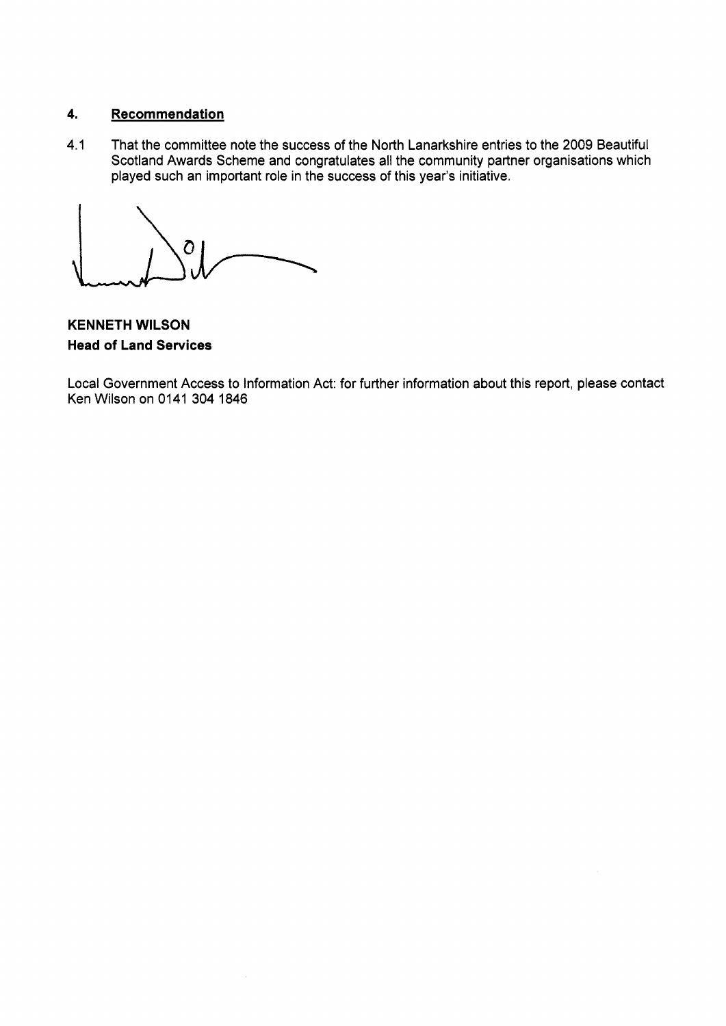# **4. Recommendation**

**4.1** That the committee note the success of the North Lanarkshire entries to the 2009 Beautiful Scotland Awards Scheme and congratulates all the community partner organisations which played such an important role in the success of this year's initiative.

 $\overline{O}$ 

**KENNETH WILSON Head of Land Services** 

Local Government Access to Information Act: for further information about this report, please contact Ken Wilson on **0141 304 1846**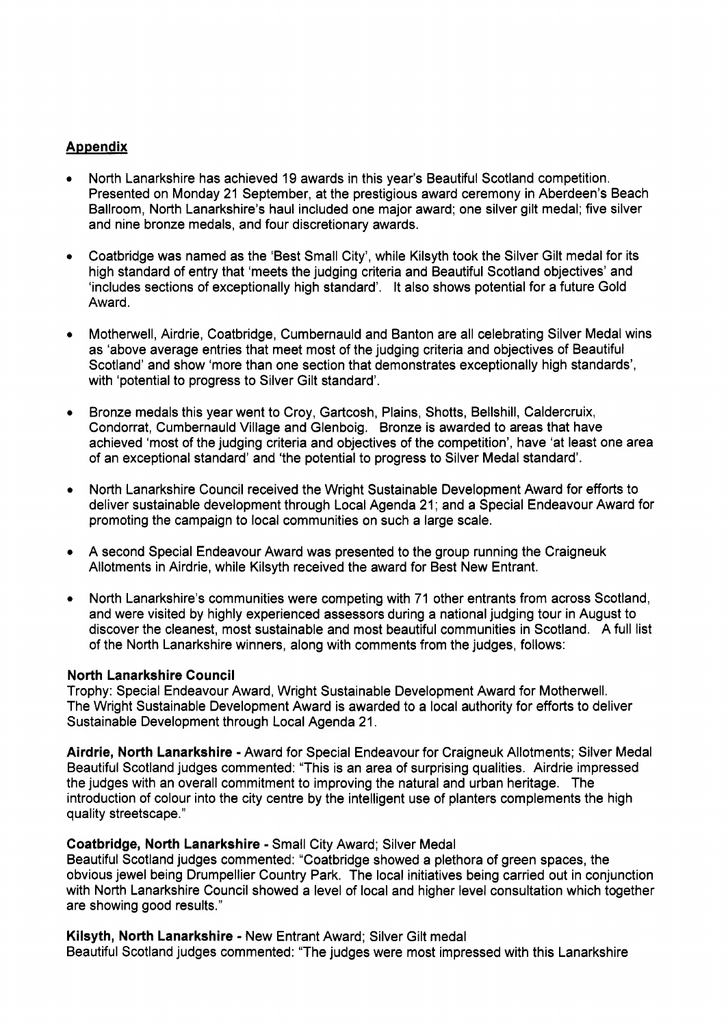# **Appendix**

- North Lanarkshire has achieved 19 awards in this year's Beautiful Scotland competition. Presented on Monday 21 September, at the prestigious award ceremony in Aberdeen's Beach Ballroom, North Lanarkshire's haul included one major award; one silver gilt medal; five silver and nine bronze medals, and four discretionary awards.
- Coatbridge was named as the 'Best Small City', while Kilsyth took the Silver Gilt medal for its high standard of entry that 'meets the judging criteria and Beautiful Scotland objectives' and 'includes sections of exceptionally high standard'. It also shows potential for a future Gold Award.
- Motherwell, Airdrie, Coatbridge, Cumbernauld and Banton are all celebrating Silver Medal wins as 'above average entries that meet most of the judging criteria and objectives of Beautiful Scotland' and show 'more than one section that demonstrates exceptionally high standards', with 'potential to progress to Silver Gilt standard'.
- Bronze medals this year went to Croy, Gartcosh, Plains, Shotts, Bellshill, Caldercruix, Condorrat, Cumbernauld Village and Glenboig. Bronze *is* awarded to areas that have achieved 'most of the judging criteria and objectives of the competition', have 'at least one area of an exceptional standard' and 'the potential to progress to Silver Medal standard'.
- North Lanarkshire Council received the Wright Sustainable Development Award for efforts to deliver sustainable development through Local Agenda 21; and a Special Endeavour Award for promoting the campaign to local communities on such a large scale.
- A second Special Endeavour Award was presented to the group running the Craigneuk Allotments in Airdrie, while Kilsyth received the award for Best New Entrant.
- North Lanarkshire's communities were competing with 71 other entrants from across Scotland, and were visited by highly experienced assessors during a national judging tour in August to discover the cleanest, most sustainable and most beautiful communities in Scotland. A full list of the North Lanarkshire winners, along with comments from the judges, follows:

#### **North Lanarkshire Council**

Trophy: Special Endeavour Award, Wright Sustainable Development Award for Motherwell. The Wright Sustainable Development Award is awarded to a local authority for efforts to deliver Sustainable Development through Local Agenda 21.

**Airdrie, North Lanarkshire** - Award for Special Endeavour for Craigneuk Allotments; Silver Medal Beautiful Scotland judges commented: "This is an area of surprising qualities. Airdrie impressed the judges with an overall commitment to improving the natural and urban heritage. The introduction of colour into the city centre by the intelligent use of planters complements the high quality streetscape."

#### **Coatbridge, North Lanarkshire** - Small City Award; Silver Medal

Beautiful Scotland judges commented: "Coatbridge showed a plethora of green spaces, the obvious jewel being Drumpellier Country Park. The local initiatives being carried out in conjunction with North Lanarkshire Council showed a level of local and higher level consultation which together are showing good results."

**Kilsyth, North Lanarkshire** - New Entrant Award; Silver Gilt medal Beautiful Scotland judges commented: "The judges were most impressed with this Lanarkshire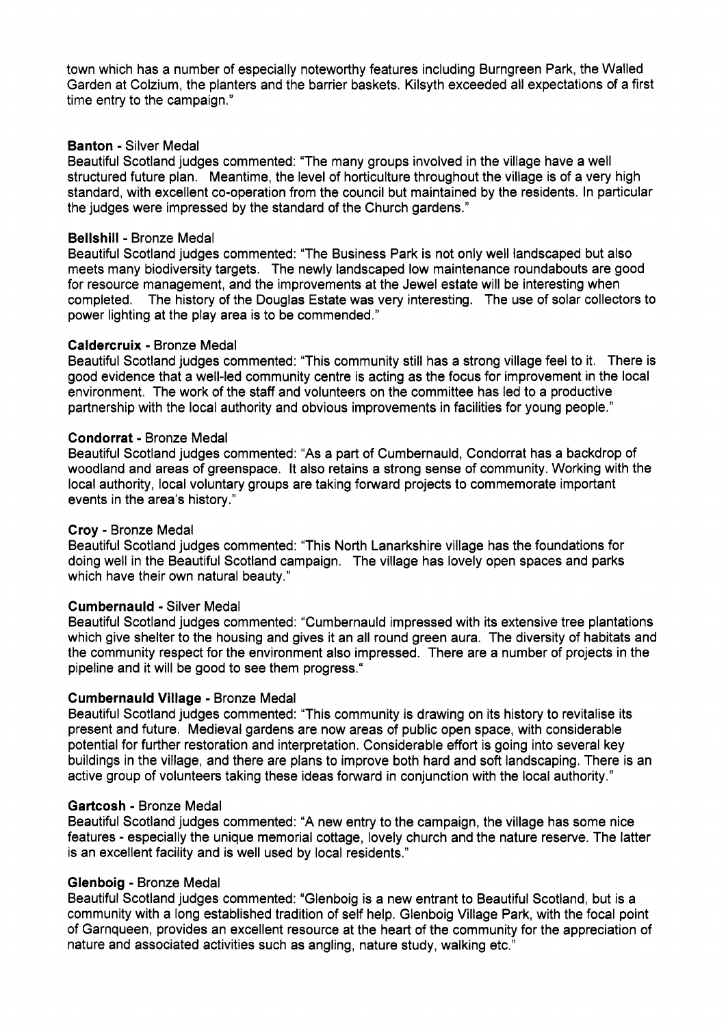town which has a number of especially noteworthy features including Burngreen Park, the Walled Garden at Colzium, the planters and the barrier baskets. Kilsyth exceeded all expectations of a first time entry to the campaign."

### **Banton** - Silver Medal

Beautiful Scotland judges commented: "The many groups involved in the village have a well structured future plan. Meantime, the level of horticulture throughout the village is of a very high standard, with excellent co-operation from the council but maintained by the residents. In particular the judges were impressed by the standard of the Church gardens."

### **Bellshill** - Bronze Medal

Beautiful Scotland judges commented: "The Business Park is not only well landscaped but also meets many biodiversity targets. The newly landscaped low maintenance roundabouts are good for resource management, and the improvements at the Jewel estate will be interesting when completed. The history of the Douglas Estate was very interesting. The use of solar collectors to power lighting at the play area is to be commended."

### **Caldercruix** - Bronze Medal

Beautiful Scotland judges commented: "This community still has a strong village feel to it. There is good evidence that a well-led community centre is acting as the focus for improvement in the local environment. The work of the staff and volunteers on the committee has led to a productive partnership with the local authority and obvious improvements in facilities for young people."

### **Condorrat** - Bronze Medal

Beautiful Scotland judges commented: **"As** a part of Cumbernauld, Condorrat has a backdrop of woodland and areas of greenspace. It also retains a strong sense of community. Working with the local authority, local voluntary groups are taking forward projects to commemorate important events in the area's history."

#### **Croy** - Bronze Medal

Beautiful Scotland judges commented: "This North Lanarkshire village has the foundations for doing well in the Beautiful Scotland campaign. The village has lovely open spaces and parks which have their own natural beauty."

#### **Cumbernauld** - Silver Medal

Beautiful Scotland judges commented: "Cumbernauld impressed with its extensive tree plantations which give shelter to the housing and gives it an all round green aura. The diversity of habitats and the community respect for the environment also impressed. There are a number of projects in the pipeline and it will be good to see them progress.''

## **Cumbernauld Village** - Bronze Medal

Beautiful Scotland judges commented: "This community is drawing on its history to revitalise its present and future. Medieval gardens are now areas of public open space, with considerable potential for further restoration and interpretation. Considerable effort is going into several key buildings in the village, and there are plans to improve both hard and soft landscaping. There is an active group of volunteers taking these ideas forward in conjunction with the local authority."

#### **Gartcosh** - Bronze Medal

Beautiful Scotland judges commented: **"A** new entry to the campaign, the village has some nice features - especially the unique memorial cottage, lovely church and the nature reserve. The latter is an excellent facility and is well used by local residents."

#### **Glenboig** - Bronze Medal

Beautiful Scotland judges commented: "Glenboig is a new entrant to Beautiful Scotland, but is a community with a long established tradition of self help. Glenboig Village Park, with the focal point of Garnqueen, provides an excellent resource at the heart of the community for the appreciation of nature and associated activities such as angling, nature study, walking etc."